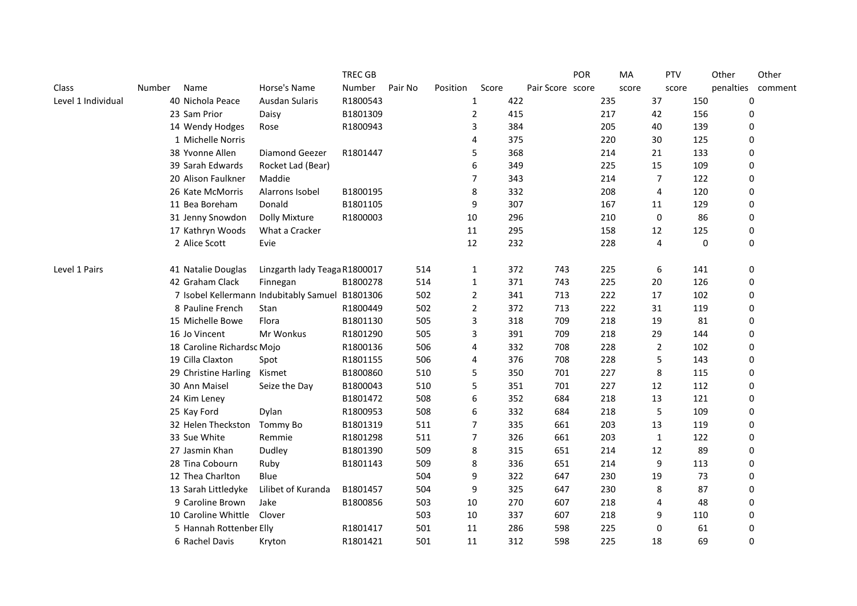|                    |                            |                                                 | <b>TREC GB</b> |         |          |                |     |                  | POR | MA    | PTV            | Other     | Other       |
|--------------------|----------------------------|-------------------------------------------------|----------------|---------|----------|----------------|-----|------------------|-----|-------|----------------|-----------|-------------|
| Class              | Number<br>Name             | Horse's Name                                    | Number         | Pair No | Position | Score          |     | Pair Score score |     | score | score          | penalties | comment     |
| Level 1 Individual | 40 Nichola Peace           | Ausdan Sularis                                  | R1800543       |         |          | 1              | 422 |                  |     | 235   | 37             | 150       | 0           |
|                    | 23 Sam Prior               | Daisy                                           | B1801309       |         |          | $\overline{2}$ | 415 |                  |     | 217   | 42             | 156       | 0           |
|                    | 14 Wendy Hodges            | Rose                                            | R1800943       |         |          | 3              | 384 |                  |     | 205   | 40             | 139       | 0           |
|                    | 1 Michelle Norris          |                                                 |                |         |          | 4              | 375 |                  |     | 220   | 30             | 125       | 0           |
|                    | 38 Yvonne Allen            | Diamond Geezer                                  | R1801447       |         |          | 5              | 368 |                  |     | 214   | 21             | 133       | 0           |
|                    | 39 Sarah Edwards           | Rocket Lad (Bear)                               |                |         |          | 6              | 349 |                  |     | 225   | 15             | 109       | 0           |
|                    | 20 Alison Faulkner         | Maddie                                          |                |         |          | 7              | 343 |                  |     | 214   | 7              | 122       | 0           |
|                    | 26 Kate McMorris           | Alarrons Isobel                                 | B1800195       |         |          | 8              | 332 |                  |     | 208   | 4              | 120       | 0           |
|                    | 11 Bea Boreham             | Donald                                          | B1801105       |         |          | 9              | 307 |                  |     | 167   | 11             | 129       | 0           |
|                    | 31 Jenny Snowdon           | <b>Dolly Mixture</b>                            | R1800003       |         | 10       |                | 296 |                  |     | 210   | 0              | 86        | 0           |
|                    | 17 Kathryn Woods           | What a Cracker                                  |                |         | 11       |                | 295 |                  |     | 158   | 12             | 125       | 0           |
|                    | 2 Alice Scott              | Evie                                            |                |         | 12       |                | 232 |                  |     | 228   | 4              | $\bf{0}$  | 0           |
| Level 1 Pairs      | 41 Natalie Douglas         | Linzgarth lady Teaga R1800017                   |                | 514     |          | 1              | 372 | 743              |     | 225   | 6              | 141       | 0           |
|                    | 42 Graham Clack            | Finnegan                                        | B1800278       | 514     |          | $\mathbf{1}$   | 371 | 743              |     | 225   | 20             | 126       | 0           |
|                    |                            | 7 Isobel Kellermann Indubitably Samuel B1801306 |                | 502     |          | $\overline{2}$ | 341 | 713              |     | 222   | 17             | 102       | 0           |
|                    | 8 Pauline French           | Stan                                            | R1800449       | 502     |          | $\overline{2}$ | 372 | 713              |     | 222   | 31             | 119       | 0           |
|                    | 15 Michelle Bowe           | Flora                                           | B1801130       | 505     |          | 3              | 318 | 709              |     | 218   | 19             | 81        | 0           |
|                    | 16 Jo Vincent              | Mr Wonkus                                       | R1801290       | 505     |          | 3              | 391 | 709              |     | 218   | 29             | 144       | 0           |
|                    | 18 Caroline Richardsc Mojo |                                                 | R1800136       | 506     |          | 4              | 332 | 708              |     | 228   | $\overline{2}$ | 102       | 0           |
|                    | 19 Cilla Claxton           | Spot                                            | R1801155       | 506     |          | 4              | 376 | 708              |     | 228   | 5              | 143       | 0           |
|                    | 29 Christine Harling       | Kismet                                          | B1800860       | 510     |          | 5              | 350 | 701              |     | 227   | 8              | 115       | 0           |
|                    | 30 Ann Maisel              | Seize the Day                                   | B1800043       | 510     |          | 5              | 351 | 701              |     | 227   | 12             | 112       | 0           |
|                    | 24 Kim Leney               |                                                 | B1801472       | 508     |          | 6              | 352 | 684              |     | 218   | 13             | 121       | 0           |
|                    | 25 Kay Ford                | Dylan                                           | R1800953       | 508     |          | 6              | 332 | 684              |     | 218   | 5              | 109       | 0           |
|                    | 32 Helen Theckston         | Tommy Bo                                        | B1801319       | 511     |          | $\overline{7}$ | 335 | 661              |     | 203   | 13             | 119       | 0           |
|                    | 33 Sue White               | Remmie                                          | R1801298       | 511     |          | 7              | 326 | 661              |     | 203   | 1              | 122       | 0           |
|                    | 27 Jasmin Khan             | Dudley                                          | B1801390       | 509     |          | 8              | 315 | 651              |     | 214   | 12             | 89        | 0           |
|                    | 28 Tina Cobourn            | Ruby                                            | B1801143       | 509     |          | 8              | 336 | 651              |     | 214   | 9              | 113       | 0           |
|                    | 12 Thea Charlton           | Blue                                            |                | 504     |          | 9              | 322 | 647              |     | 230   | 19             | 73        | 0           |
|                    | 13 Sarah Littledyke        | Lilibet of Kuranda                              | B1801457       | 504     |          | 9              | 325 | 647              |     | 230   | 8              | 87        | 0           |
|                    | 9 Caroline Brown           | Jake                                            | B1800856       | 503     | 10       |                | 270 | 607              |     | 218   | 4              | 48        | 0           |
|                    | 10 Caroline Whittle        | Clover                                          |                | 503     | 10       |                | 337 | 607              |     | 218   | 9              | 110       | 0           |
|                    | 5 Hannah Rottenber Elly    |                                                 | R1801417       | 501     | 11       |                | 286 | 598              |     | 225   | 0              | 61        | 0           |
|                    | 6 Rachel Davis             | Kryton                                          | R1801421       | 501     | 11       |                | 312 | 598              |     | 225   | 18             | 69        | $\mathbf 0$ |
|                    |                            |                                                 |                |         |          |                |     |                  |     |       |                |           |             |